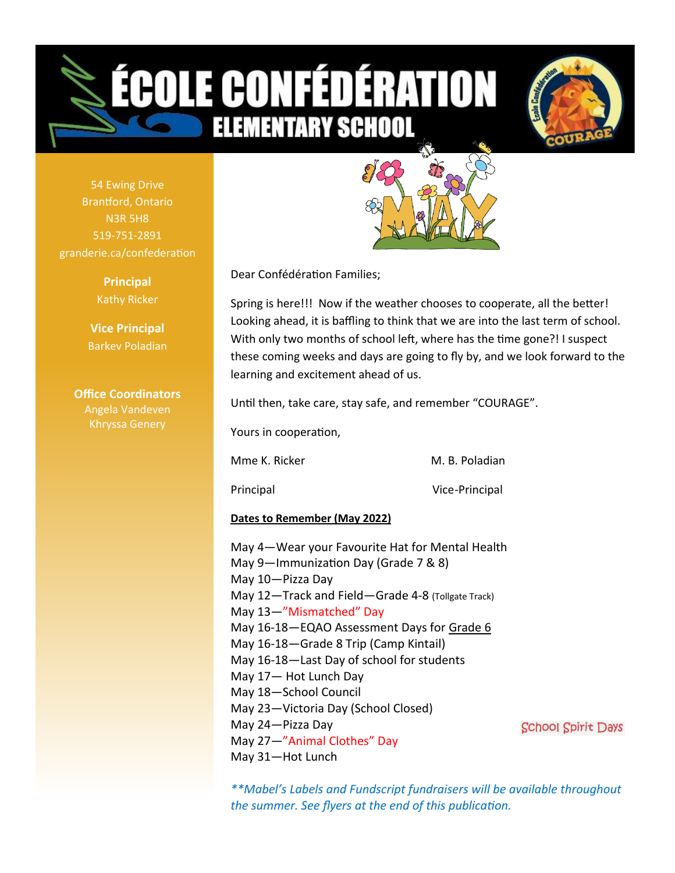# **OLE CONFÉDÉRATION ELEMENTARY SCHOO**



54 Ewing Drive Brantford, Ontario N3R 5H8 519-751-2891 granderie.ca/confederation

> **Principal** Kathy Ricker

**Vice Principal** Barkev Poladian

**Office Coordinators** Angela Vandeven



Dear Confédération Families;

Spring is here!!! Now if the weather chooses to cooperate, all the better! Looking ahead, it is baffling to think that we are into the last term of school. With only two months of school left, where has the time gone?! I suspect these coming weeks and days are going to fly by, and we look forward to the learning and excitement ahead of us.

Until then, take care, stay safe, and remember "COURAGE".

Yours in cooperation,

Mme K. Ricker M. B. Poladian

Principal Vice-Principal

#### **Dates to Remember (May 2022)**

May 4—Wear your Favourite Hat for Mental Health May 9—Immunization Day (Grade 7 & 8) May 10—Pizza Day May 12—Track and Field—Grade 4-8 (Tollgate Track) May 13—"Mismatched" Day May 16-18—EQAO Assessment Days for Grade 6 May 16-18—Grade 8 Trip (Camp Kintail) May 16-18—Last Day of school for students May 17— Hot Lunch Day May 18—School Council May 23—Victoria Day (School Closed) May 24—Pizza Day May 27—"Animal Clothes" Day May 31—Hot Lunch

**School Spirit Days** 

*\*\*Mabel's Labels and Fundscript fundraisers will be available throughout the summer. See flyers at the end of this publication.*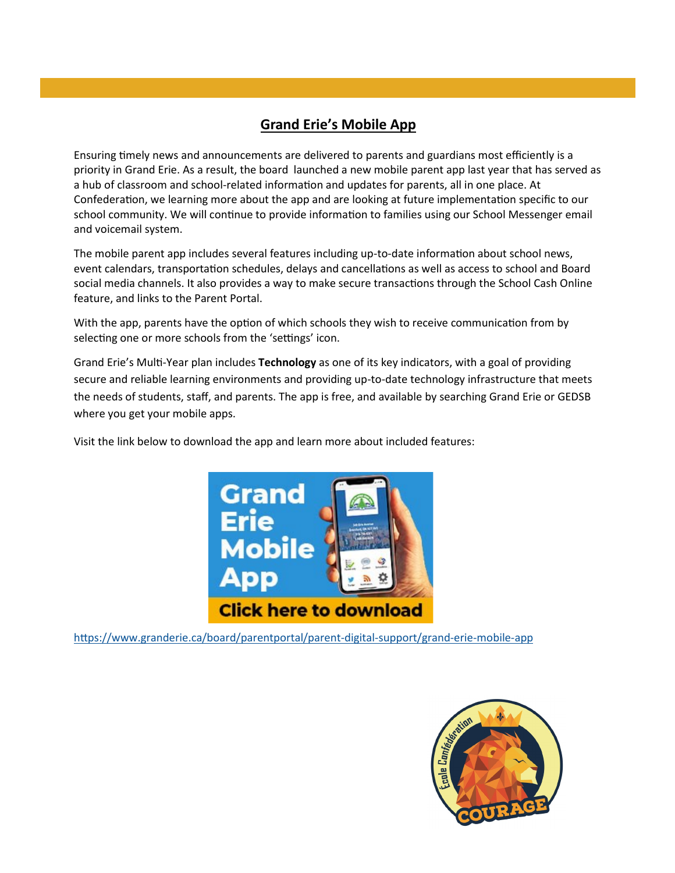#### **Grand Erie's Mobile App**

Ensuring timely news and announcements are delivered to parents and guardians most efficiently is a priority in Grand Erie. As a result, the board launched a new mobile parent app last year that has served as a hub of classroom and school-related information and updates for parents, all in one place. At Confederation, we learning more about the app and are looking at future implementation specific to our school community. We will continue to provide information to families using our School Messenger email and voicemail system.

The mobile parent app includes several features including up-to-date information about school news, event calendars, transportation schedules, delays and cancellations as well as access to school and Board social media channels. It also provides a way to make secure transactions through the School Cash Online feature, and links to the Parent Portal.

With the app, parents have the option of which schools they wish to receive communication from by selecting one or more schools from the 'settings' icon.

Grand Erie's Multi-[Year plan](https://www.granderie.ca/board/about/multi-year-plan) includes **Technology** as one of its key indicators, with a goal of providing secure and reliable learning environments and providing up-to-date technology infrastructure that meets the needs of students, staff, and parents. The app is free, and available by searching Grand Erie or GEDSB where you get your mobile apps.

Visit the link below to download the app and learn more about included features:



[https://www.granderie.ca/board/parentportal/parent](https://www.granderie.ca/board/parentportal/parent-digital-support/grand-erie-mobile-app)-digital-support/grand-erie-mobile-app

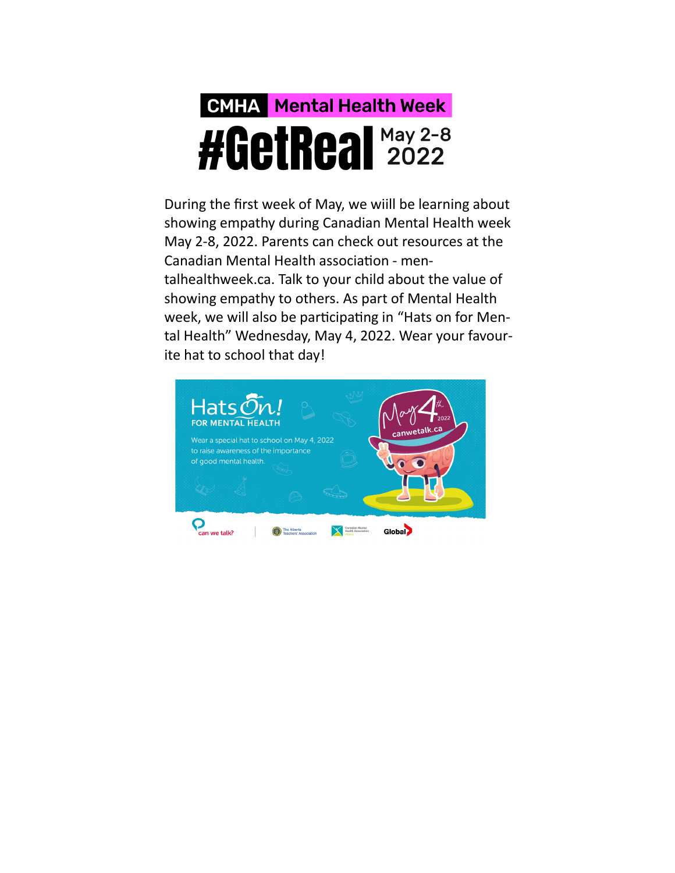## **CMHA** Mental Health Week **#GetReal 2022**

During the first week of May, we wiill be learning about showing empathy during Canadian Mental Health week May 2-8, 2022. Parents can check out resources at the Canadian Mental Health association - mentalhealthweek.ca. Talk to your child about the value of showing empathy to others. As part of Mental Health week, we will also be participating in "Hats on for Mental Health" Wednesday, May 4, 2022. Wear your favourite hat to school that day!

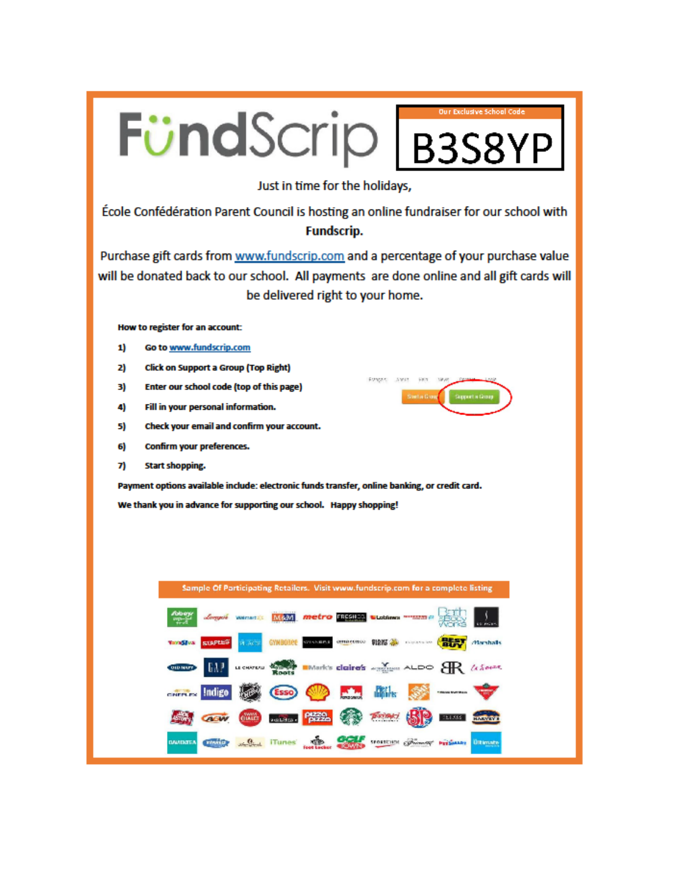

DARKING A.S.A. Hunes and Contract of Minor residence the Company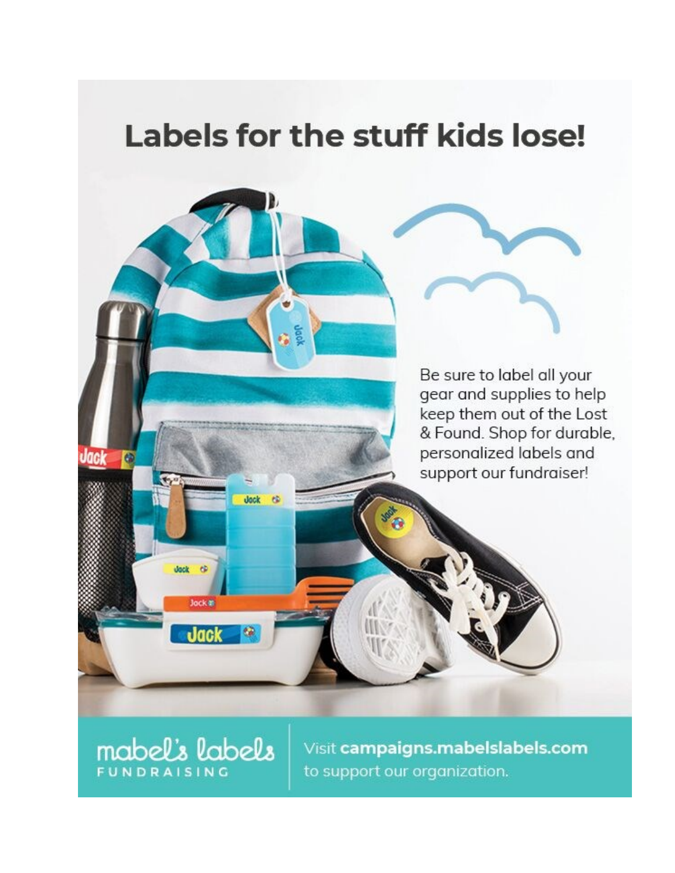### Labels for the stuff kids lose!

Be sure to label all your gear and supplies to help keep them out of the Lost & Found. Shop for durable, personalized labels and support our fundraiser!

**mabel's labels** 

dock  $\ddot{\alpha}$ 

Jock #

**Jack** 

Jack

Q

is.

Œ

Visit campaigns.mabelslabels.com to support our organization.